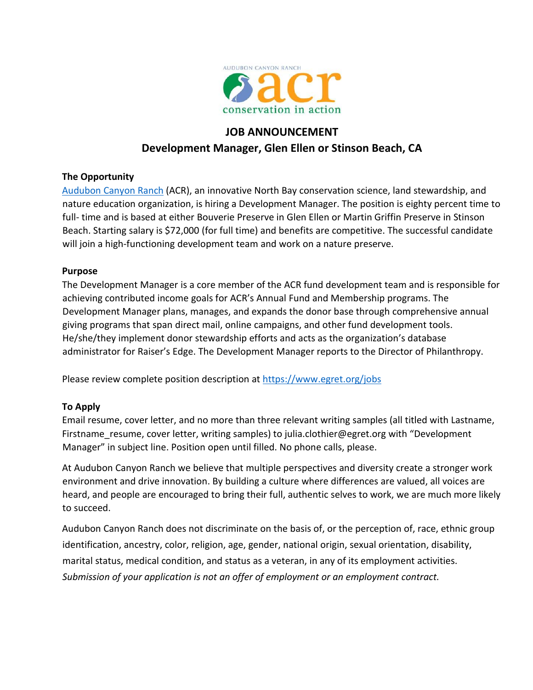

# **JOB ANNOUNCEMENT Development Manager, Glen Ellen or Stinson Beach, CA**

# **The Opportunity**

Audubon Canyon Ranch (ACR), an innovative North Bay conservation science, land stewardship, and nature education organization, is hiring a Development Manager. The position is eighty percent time to full- time and is based at either Bouverie Preserve in Glen Ellen or Martin Griffin Preserve in Stinson Beach. Starting salary is \$72,000 (for full time) and benefits are competitive. The successful candidate will join a high-functioning development team and work on a nature preserve.

# **Purpose**

The Development Manager is a core member of the ACR fund development team and is responsible for achieving contributed income goals for ACR's Annual Fund and Membership programs. The Development Manager plans, manages, and expands the donor base through comprehensive annual giving programs that span direct mail, online campaigns, and other fund development tools. He/she/they implement donor stewardship efforts and acts as the organization's database administrator for Raiser's Edge. The Development Manager reports to the Director of Philanthropy.

Please review complete position description at https://www.egret.org/jobs

# **To Apply**

Email resume, cover letter, and no more than three relevant writing samples (all titled with Lastname, Firstname resume, cover letter, writing samples) to julia.clothier@egret.org with "Development Manager" in subject line. Position open until filled. No phone calls, please.

At Audubon Canyon Ranch we believe that multiple perspectives and diversity create a stronger work environment and drive innovation. By building a culture where differences are valued, all voices are heard, and people are encouraged to bring their full, authentic selves to work, we are much more likely to succeed.

Audubon Canyon Ranch does not discriminate on the basis of, or the perception of, race, ethnic group identification, ancestry, color, religion, age, gender, national origin, sexual orientation, disability, marital status, medical condition, and status as a veteran, in any of its employment activities. *Submission of your application is not an offer of employment or an employment contract.*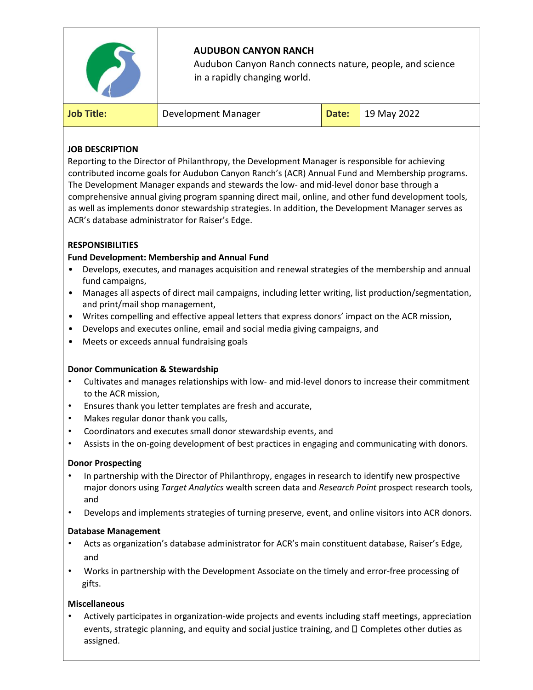

## **JOB DESCRIPTION**

Reporting to the Director of Philanthropy, the Development Manager is responsible for achieving contributed income goals for Audubon Canyon Ranch's (ACR) Annual Fund and Membership programs. The Development Manager expands and stewards the low‐ and mid‐level donor base through a comprehensive annual giving program spanning direct mail, online, and other fund development tools, as well as implements donor stewardship strategies. In addition, the Development Manager serves as ACR's database administrator for Raiser's Edge.

## **RESPONSIBILITIES**

### **Fund Development: Membership and Annual Fund**

- Develops, executes, and manages acquisition and renewal strategies of the membership and annual fund campaigns,
- Manages all aspects of direct mail campaigns, including letter writing, list production/segmentation, and print/mail shop management,
- Writes compelling and effective appeal letters that express donors' impact on the ACR mission,
- Develops and executes online, email and social media giving campaigns, and
- Meets or exceeds annual fundraising goals

#### **Donor Communication & Stewardship**

- Cultivates and manages relationships with low- and mid-level donors to increase their commitment to the ACR mission,
- Ensures thank you letter templates are fresh and accurate,
- Makes regular donor thank you calls,
- Coordinators and executes small donor stewardship events, and
- Assists in the on-going development of best practices in engaging and communicating with donors.

#### **Donor Prospecting**

- In partnership with the Director of Philanthropy, engages in research to identify new prospective major donors using *Target Analytics* wealth screen data and *Research Point* prospect research tools, and
- Develops and implements strategies of turning preserve, event, and online visitors into ACR donors.

#### **Database Management**

- Acts as organization's database administrator for ACR's main constituent database, Raiser's Edge, and
- Works in partnership with the Development Associate on the timely and error-free processing of gifts.

#### **Miscellaneous**

• Actively participates in organization‐wide projects and events including staff meetings, appreciation events, strategic planning, and equity and social justice training, and  $\square$  Completes other duties as assigned.